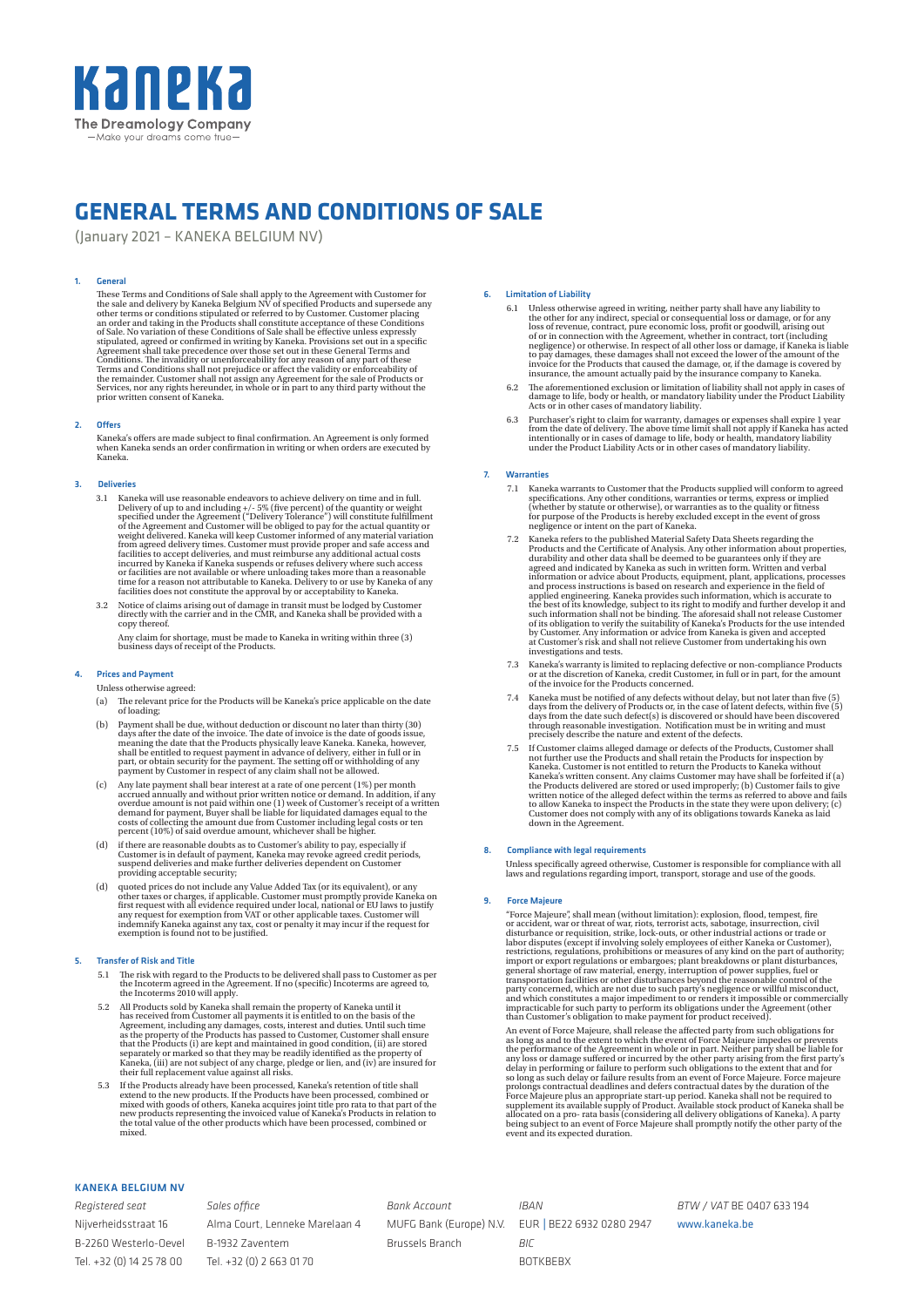

# **GENERAL TERMS AND CONDITIONS OF SALE**

(January 2021 – KANEKA BELGIUM NV)

## 1. General

These Terms and Conditions of Sale shall apply to the Agreement with Customer for the sale and delivery by Kaneka Belgium NV of specified Products and supersede any other terms or conditions stipulated or referred to by Cu

#### 2. Offers

Kaneka's offers are made subject to final confirmation. An Agreement is only formed<br>when Kaneka sends an order confirmation in writing or when orders are executed by<br>Kaneka.

## 3. Deliveries

- 3.1 Kaneka will use reasonable endeavors to achieve delivery on time and in full. Delivery of up to and including  $+/-$  5% (five percent) of the quantity or weight specified under the Agreement ("Delivery Tolerance") will
- 3.2 Notice of claims arising out of damage in transit must be lodged by Customer directly with the carrier and in the CMR, and Kaneka shall be provided with a copy thereof. Any claim for shortage, must be made to Kaneka in writing within three (3)

business days of receipt of the Products.

## 4. Prices and Payment

Unless otherwise agreed:

- (a) The relevant price for the Products will be Kaneka's price applicable on the date of loading;
- (b) Payment shall be due, without deduction or discount no later than thirty (30) days after the date of the invoice. The date of invoice is the date of goods issue, meaning the date that the Products physically leave is shall be entitled to request payment in advance of delivery, either in full or in p
- (c) Any late payment shall bear interest at a rate of one percent (1%) per month<br>accrued annually and without prior written notice or demand. In addition, if any<br>overdue amount is not paid within one (1) week of Customer'
- (d) if there are reasonable doubts as to Customer's ability to pay, especially if Customer is in default of payment, Kaneka may revoke agreed credit periods, suspend deliveries and make further deliveries dependent on Cust providing acceptable security;
- (d) quoted prices do not include any Value Added Tax (or its equivalent), or any other taxes or charges, if applicable. Customer must promptly provide Kaneka on first request with all evidence required under local, nationa

#### 5. Transfer of Risk and Title

- 5.1 The risk with regard to the Products to be delivered shall pass to Customer as per the Incoterm agreed in the Agreement. If no (specific) Incoterms are agreed to, the Incoterms 2010 will apply.
- 5.2 All Products sold by Kaneka shall remain the property of Kaneka until it<br>has received from Customer all payments it is entitled to on the basis of the<br>Agreement, including any damages, costs, interest and duties. Unti
- 5.3 If the Products already have been processed, Kaneka's retention of title shall extend to the new products. If the Products have been processed, combined or mixed with goods of others, Kaneka acquires joint title pro r

## 6. Limitation of Liability

- 6.1 Unless otherwise agreed in writing, neither party shall have any liability the other for any indirect, special or consequential loss or damage, or for any loss of revenue, contract, pure economic loss, profit or goodwi
- 6.2 The aforementioned exclusion or limitation of liability shall not apply in cases of damage to life, body or health, or mandatory liability under the Product Liability Acts or in other cases of mandatory liability.
- 6.3 Purchaser's right to claim for warranty, damages or expenses shall expire 1 year from the date of delivery. The above time limit shall not apply if Kaneka has acted intentionally or in cases of damage to life, body or

## **Warranties**

- 7.1 Kaneka warrants to Customer that the Products supplied will conform to agreed specifications. Any other conditions, warranties or terms, express or implied<br>(whether by statute or otherwise), or warranties as to the quality or fitness<br>for purpose of the Products is hereby excluded except in the event
- 7.2 Kaneka refers to the published Material Safety Data Sheets regarding the Products and the Certificate of Analysis. Any other information about properties, durability and other data shall be deemed to be guarantees onl
- 7.3 Kaneka's warranty is limited to replacing defective or non-compliance Products or at the discretion of Kaneka, credit Customer, in full or in part, for the amount of the invoice for the Products concerned.
- 7.4 Kaneka must be notified of any defects without delay, but not later than five (5) days from the delivery of Products or, in the case of latent defects, within five (5) days from the date such defect(s) is discovered o
- 7.5 If Customer claims alleged damage or defects of the Products, Customer shall not further use the Products and shall retain the Products for inspection by Kaneka. Customer is not entitled to return the Products to Kane

## 8. Compliance with legal requirements

Unless specifically agreed otherwise, Customer is responsible for compliance with all laws and regulations regarding import, transport, storage and use of the goods.

#### 9. Force Majeure

"force Majeure", shall mean (without limitation): explosion, flood, tempest, fire<br>or accident, war or threat of war, riots, terrorist acts, sabotage, insurrection, civil<br>disturbance or requisition, strike, lock-outs, or o

An event of Force Majeure, shall release the affected party from such obligations for an eas long as and to the extent to which the event of Force Majeure impedes or prevents the performance of the Agreement in whole or i

# KANEKA BELGIUM NV

*Registered seat* Nijverheidsstraat 16 B-2260 Westerlo-Oevel Tel. +32 (0) 14 25 78 00

*Sales office* Alma Court, Lenneke Marelaan 4 B-1932 Zaventem Tel. +32 (0) 2 663 01 70

*Bank Account* MUFG Bank (Europe) N.V. Brussels Branch

*IBAN* EUR | BE22 6932 0280 2947 *BIC* BOTKBEBX

*BTW / VAT* BE 0407 633 194

www.kaneka.be